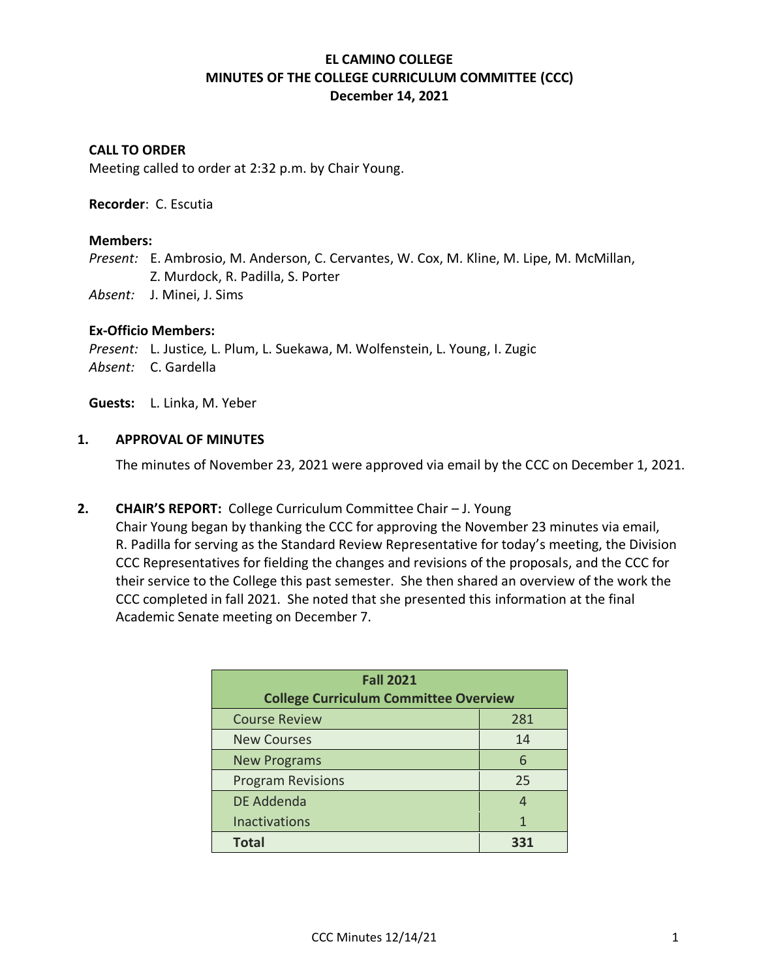## **EL CAMINO COLLEGE MINUTES OF THE COLLEGE CURRICULUM COMMITTEE (CCC) December 14, 2021**

### **CALL TO ORDER**

Meeting called to order at 2:32 p.m. by Chair Young.

#### **Recorder**: C. Escutia

#### **Members:**

*Present:* E. Ambrosio, M. Anderson, C. Cervantes, W. Cox, M. Kline, M. Lipe, M. McMillan, Z. Murdock, R. Padilla, S. Porter

*Absent:* J. Minei, J. Sims

#### **Ex-Officio Members:**

*Present:* L. Justice*,* L. Plum, L. Suekawa, M. Wolfenstein, L. Young, I. Zugic *Absent:* C. Gardella

**Guests:** L. Linka, M. Yeber

#### **1. APPROVAL OF MINUTES**

The minutes of November 23, 2021 were approved via email by the CCC on December 1, 2021.

### **2. CHAIR'S REPORT:** College Curriculum Committee Chair – J. Young

Chair Young began by thanking the CCC for approving the November 23 minutes via email, R. Padilla for serving as the Standard Review Representative for today's meeting, the Division CCC Representatives for fielding the changes and revisions of the proposals, and the CCC for their service to the College this past semester. She then shared an overview of the work the CCC completed in fall 2021. She noted that she presented this information at the final Academic Senate meeting on December 7.

| <b>Fall 2021</b>                             |    |  |  |
|----------------------------------------------|----|--|--|
| <b>College Curriculum Committee Overview</b> |    |  |  |
| <b>Course Review</b><br>281                  |    |  |  |
| <b>New Courses</b>                           | 14 |  |  |
| <b>New Programs</b>                          | 6  |  |  |
| <b>Program Revisions</b>                     | 25 |  |  |
| DE Addenda                                   | Δ  |  |  |
| <b>Inactivations</b>                         | 1  |  |  |
| <b>Total</b>                                 |    |  |  |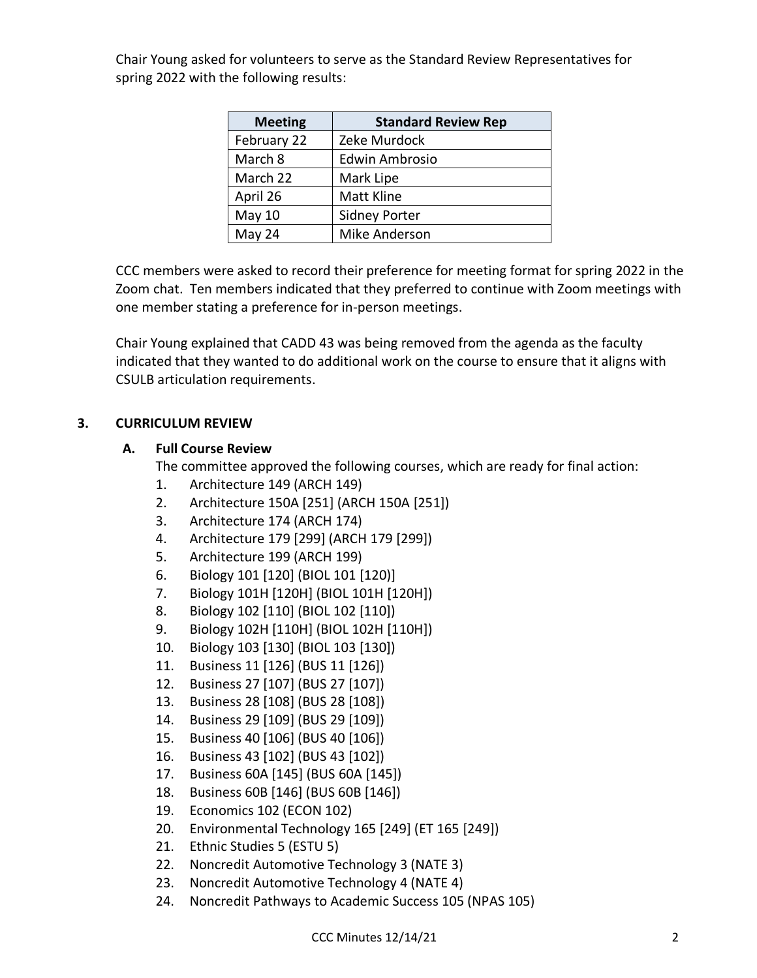Chair Young asked for volunteers to serve as the Standard Review Representatives for spring 2022 with the following results:

| <b>Meeting</b> | <b>Standard Review Rep</b> |
|----------------|----------------------------|
| February 22    | Zeke Murdock               |
| March 8        | Edwin Ambrosio             |
| March 22       | Mark Lipe                  |
| April 26       | Matt Kline                 |
| May 10         | <b>Sidney Porter</b>       |
| May 24         | Mike Anderson              |

CCC members were asked to record their preference for meeting format for spring 2022 in the Zoom chat. Ten members indicated that they preferred to continue with Zoom meetings with one member stating a preference for in-person meetings.

Chair Young explained that CADD 43 was being removed from the agenda as the faculty indicated that they wanted to do additional work on the course to ensure that it aligns with CSULB articulation requirements.

## **3. CURRICULUM REVIEW**

## **A. Full Course Review**

The committee approved the following courses, which are ready for final action:

- 1. Architecture 149 (ARCH 149)
- 2. Architecture 150A [251] (ARCH 150A [251])
- 3. Architecture 174 (ARCH 174)
- 4. Architecture 179 [299] (ARCH 179 [299])
- 5. Architecture 199 (ARCH 199)
- 6. Biology 101 [120] (BIOL 101 [120)]
- 7. Biology 101H [120H] (BIOL 101H [120H])
- 8. Biology 102 [110] (BIOL 102 [110])
- 9. Biology 102H [110H] (BIOL 102H [110H])
- 10. Biology 103 [130] (BIOL 103 [130])
- 11. Business 11 [126] (BUS 11 [126])
- 12. Business 27 [107] (BUS 27 [107])
- 13. Business 28 [108] (BUS 28 [108])
- 14. Business 29 [109] (BUS 29 [109])
- 15. Business 40 [106] (BUS 40 [106])
- 16. Business 43 [102] (BUS 43 [102])
- 17. Business 60A [145] (BUS 60A [145])
- 18. Business 60B [146] (BUS 60B [146])
- 19. Economics 102 (ECON 102)
- 20. Environmental Technology 165 [249] (ET 165 [249])
- 21. Ethnic Studies 5 (ESTU 5)
- 22. Noncredit Automotive Technology 3 (NATE 3)
- 23. Noncredit Automotive Technology 4 (NATE 4)
- 24. Noncredit Pathways to Academic Success 105 (NPAS 105)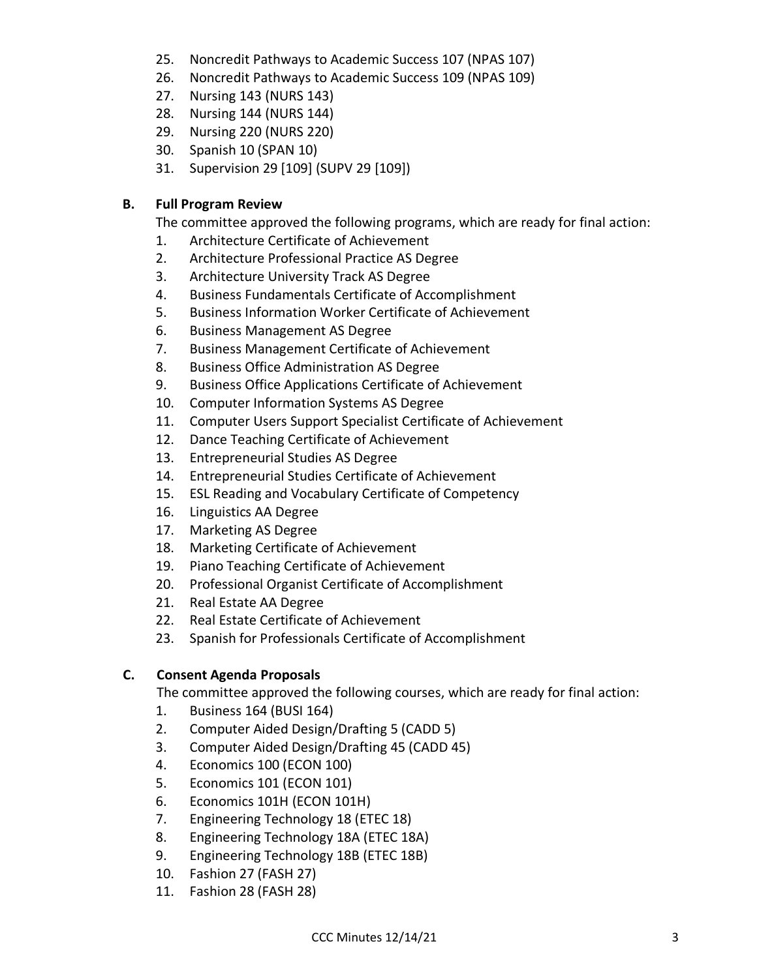- 25. Noncredit Pathways to Academic Success 107 (NPAS 107)
- 26. Noncredit Pathways to Academic Success 109 (NPAS 109)
- 27. Nursing 143 (NURS 143)
- 28. Nursing 144 (NURS 144)
- 29. Nursing 220 (NURS 220)
- 30. Spanish 10 (SPAN 10)
- 31. Supervision 29 [109] (SUPV 29 [109])

## **B. Full Program Review**

The committee approved the following programs, which are ready for final action:

- 1. Architecture Certificate of Achievement
- 2. Architecture Professional Practice AS Degree
- 3. Architecture University Track AS Degree
- 4. Business Fundamentals Certificate of Accomplishment
- 5. Business Information Worker Certificate of Achievement
- 6. Business Management AS Degree
- 7. Business Management Certificate of Achievement
- 8. Business Office Administration AS Degree
- 9. Business Office Applications Certificate of Achievement
- 10. Computer Information Systems AS Degree
- 11. Computer Users Support Specialist Certificate of Achievement
- 12. Dance Teaching Certificate of Achievement
- 13. Entrepreneurial Studies AS Degree
- 14. Entrepreneurial Studies Certificate of Achievement
- 15. ESL Reading and Vocabulary Certificate of Competency
- 16. Linguistics AA Degree
- 17. Marketing AS Degree
- 18. Marketing Certificate of Achievement
- 19. Piano Teaching Certificate of Achievement
- 20. Professional Organist Certificate of Accomplishment
- 21. Real Estate AA Degree
- 22. Real Estate Certificate of Achievement
- 23. Spanish for Professionals Certificate of Accomplishment

# **C. Consent Agenda Proposals**

The committee approved the following courses, which are ready for final action:

- 1. Business 164 (BUSI 164)
- 2. Computer Aided Design/Drafting 5 (CADD 5)
- 3. Computer Aided Design/Drafting 45 (CADD 45)
- 4. Economics 100 (ECON 100)
- 5. Economics 101 (ECON 101)
- 6. Economics 101H (ECON 101H)
- 7. Engineering Technology 18 (ETEC 18)
- 8. Engineering Technology 18A (ETEC 18A)
- 9. Engineering Technology 18B (ETEC 18B)
- 10. Fashion 27 (FASH 27)
- 11. Fashion 28 (FASH 28)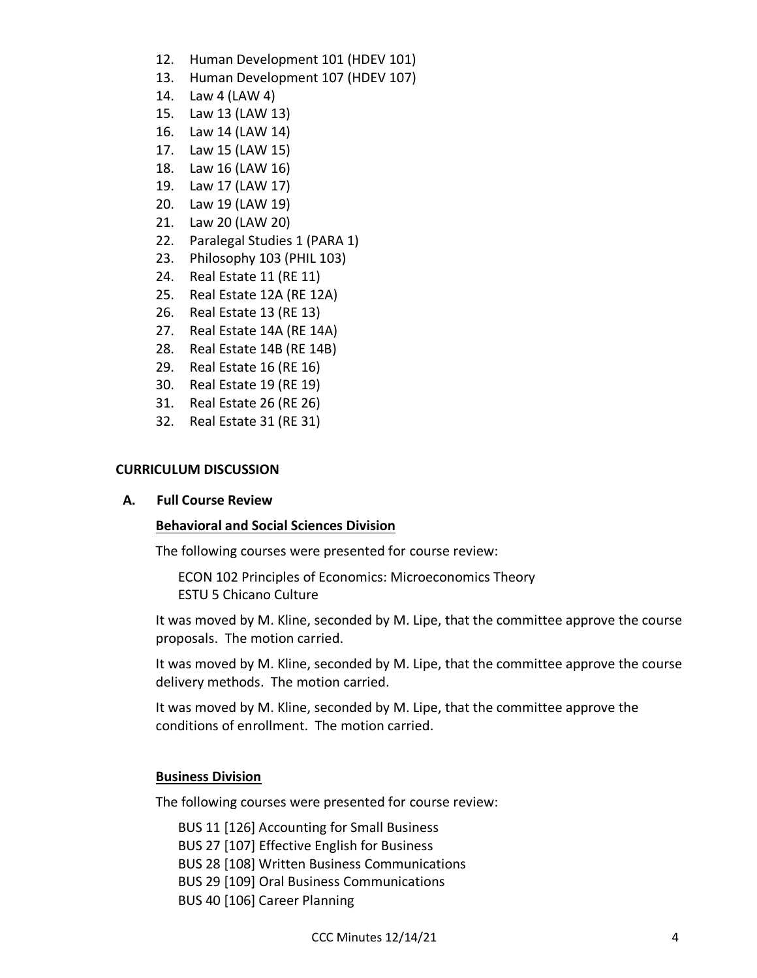- 12. Human Development 101 (HDEV 101)
- 13. Human Development 107 (HDEV 107)
- 14. Law 4 (LAW 4)
- 15. Law 13 (LAW 13)
- 16. Law 14 (LAW 14)
- 17. Law 15 (LAW 15)
- 18. Law 16 (LAW 16)
- 19. Law 17 (LAW 17)
- 20. Law 19 (LAW 19)
- 21. Law 20 (LAW 20)
- 22. Paralegal Studies 1 (PARA 1)
- 23. Philosophy 103 (PHIL 103)
- 24. Real Estate 11 (RE 11)
- 25. Real Estate 12A (RE 12A)
- 26. Real Estate 13 (RE 13)
- 27. Real Estate 14A (RE 14A)
- 28. Real Estate 14B (RE 14B)
- 29. Real Estate 16 (RE 16)
- 30. Real Estate 19 (RE 19)
- 31. Real Estate 26 (RE 26)
- 32. Real Estate 31 (RE 31)

### **CURRICULUM DISCUSSION**

### **A. Full Course Review**

### **Behavioral and Social Sciences Division**

The following courses were presented for course review:

ECON 102 Principles of Economics: Microeconomics Theory ESTU 5 Chicano Culture

It was moved by M. Kline, seconded by M. Lipe, that the committee approve the course proposals. The motion carried.

It was moved by M. Kline, seconded by M. Lipe, that the committee approve the course delivery methods. The motion carried.

It was moved by M. Kline, seconded by M. Lipe, that the committee approve the conditions of enrollment. The motion carried.

#### **Business Division**

The following courses were presented for course review:

BUS 11 [126] Accounting for Small Business BUS 27 [107] Effective English for Business BUS 28 [108] Written Business Communications BUS 29 [109] Oral Business Communications BUS 40 [106] Career Planning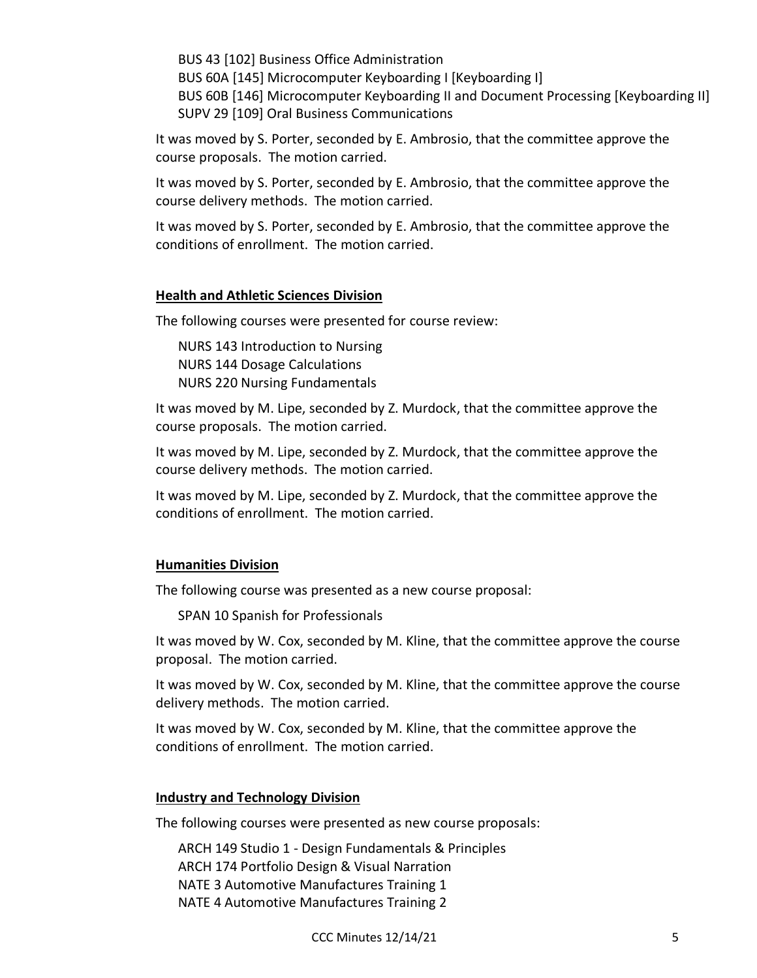BUS 43 [102] Business Office Administration

BUS 60A [145] Microcomputer Keyboarding I [Keyboarding I]

BUS 60B [146] Microcomputer Keyboarding II and Document Processing [Keyboarding II] SUPV 29 [109] Oral Business Communications

It was moved by S. Porter, seconded by E. Ambrosio, that the committee approve the course proposals. The motion carried.

It was moved by S. Porter, seconded by E. Ambrosio, that the committee approve the course delivery methods. The motion carried.

It was moved by S. Porter, seconded by E. Ambrosio, that the committee approve the conditions of enrollment. The motion carried.

## **Health and Athletic Sciences Division**

The following courses were presented for course review:

NURS 143 Introduction to Nursing NURS 144 Dosage Calculations NURS 220 Nursing Fundamentals

It was moved by M. Lipe, seconded by Z. Murdock, that the committee approve the course proposals. The motion carried.

It was moved by M. Lipe, seconded by Z. Murdock, that the committee approve the course delivery methods. The motion carried.

It was moved by M. Lipe, seconded by Z. Murdock, that the committee approve the conditions of enrollment. The motion carried.

## **Humanities Division**

The following course was presented as a new course proposal:

SPAN 10 Spanish for Professionals

It was moved by W. Cox, seconded by M. Kline, that the committee approve the course proposal. The motion carried.

It was moved by W. Cox, seconded by M. Kline, that the committee approve the course delivery methods. The motion carried.

It was moved by W. Cox, seconded by M. Kline, that the committee approve the conditions of enrollment. The motion carried.

## **Industry and Technology Division**

The following courses were presented as new course proposals:

ARCH 149 Studio 1 - Design Fundamentals & Principles ARCH 174 Portfolio Design & Visual Narration NATE 3 Automotive Manufactures Training 1 NATE 4 Automotive Manufactures Training 2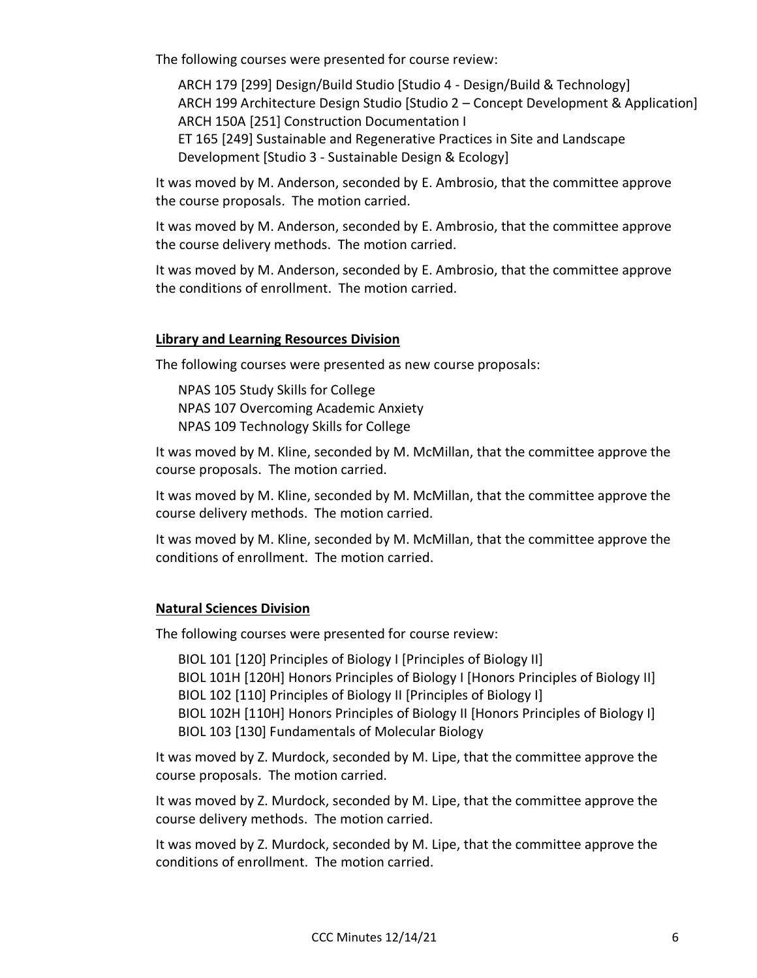The following courses were presented for course review:

ARCH 179 [299] Design/Build Studio [Studio 4 - Design/Build & Technology] ARCH 199 Architecture Design Studio [Studio 2 – Concept Development & Application] ARCH 150A [251] Construction Documentation I ET 165 [249] Sustainable and Regenerative Practices in Site and Landscape Development [Studio 3 - Sustainable Design & Ecology]

It was moved by M. Anderson, seconded by E. Ambrosio, that the committee approve the course proposals. The motion carried.

It was moved by M. Anderson, seconded by E. Ambrosio, that the committee approve the course delivery methods. The motion carried.

It was moved by M. Anderson, seconded by E. Ambrosio, that the committee approve the conditions of enrollment. The motion carried.

### **Library and Learning Resources Division**

The following courses were presented as new course proposals:

NPAS 105 Study Skills for College NPAS 107 Overcoming Academic Anxiety NPAS 109 Technology Skills for College

It was moved by M. Kline, seconded by M. McMillan, that the committee approve the course proposals. The motion carried.

It was moved by M. Kline, seconded by M. McMillan, that the committee approve the course delivery methods. The motion carried.

It was moved by M. Kline, seconded by M. McMillan, that the committee approve the conditions of enrollment. The motion carried.

### **Natural Sciences Division**

The following courses were presented for course review:

BIOL 101 [120] Principles of Biology I [Principles of Biology II] BIOL 101H [120H] Honors Principles of Biology I [Honors Principles of Biology II] BIOL 102 [110] Principles of Biology II [Principles of Biology I] BIOL 102H [110H] Honors Principles of Biology II [Honors Principles of Biology I] BIOL 103 [130] Fundamentals of Molecular Biology

It was moved by Z. Murdock, seconded by M. Lipe, that the committee approve the course proposals. The motion carried.

It was moved by Z. Murdock, seconded by M. Lipe, that the committee approve the course delivery methods. The motion carried.

It was moved by Z. Murdock, seconded by M. Lipe, that the committee approve the conditions of enrollment. The motion carried.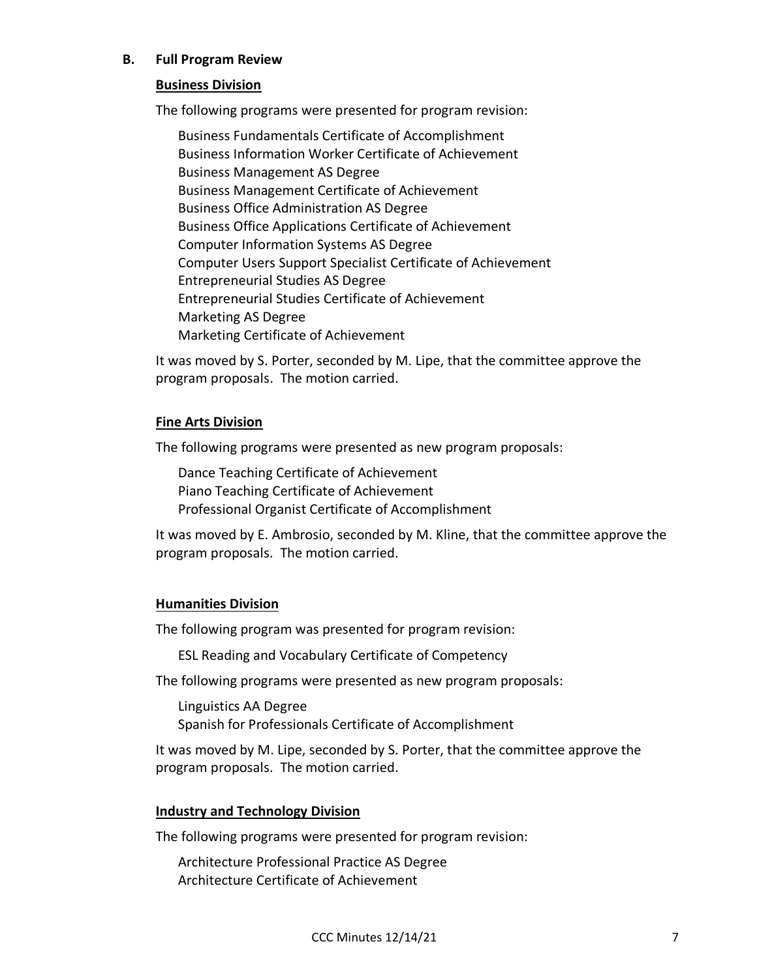### **B. Full Program Review**

#### **Business Division**

The following programs were presented for program revision:

Business Fundamentals Certificate of Accomplishment Business Information Worker Certificate of Achievement Business Management AS Degree Business Management Certificate of Achievement Business Office Administration AS Degree Business Office Applications Certificate of Achievement Computer Information Systems AS Degree Computer Users Support Specialist Certificate of Achievement Entrepreneurial Studies AS Degree Entrepreneurial Studies Certificate of Achievement Marketing AS Degree Marketing Certificate of Achievement

It was moved by S. Porter, seconded by M. Lipe, that the committee approve the program proposals. The motion carried.

#### **Fine Arts Division**

The following programs were presented as new program proposals:

Dance Teaching Certificate of Achievement Piano Teaching Certificate of Achievement Professional Organist Certificate of Accomplishment

It was moved by E. Ambrosio, seconded by M. Kline, that the committee approve the program proposals. The motion carried.

### **Humanities Division**

The following program was presented for program revision:

ESL Reading and Vocabulary Certificate of Competency

The following programs were presented as new program proposals:

Linguistics AA Degree Spanish for Professionals Certificate of Accomplishment

It was moved by M. Lipe, seconded by S. Porter, that the committee approve the program proposals. The motion carried.

### **Industry and Technology Division**

The following programs were presented for program revision:

Architecture Professional Practice AS Degree Architecture Certificate of Achievement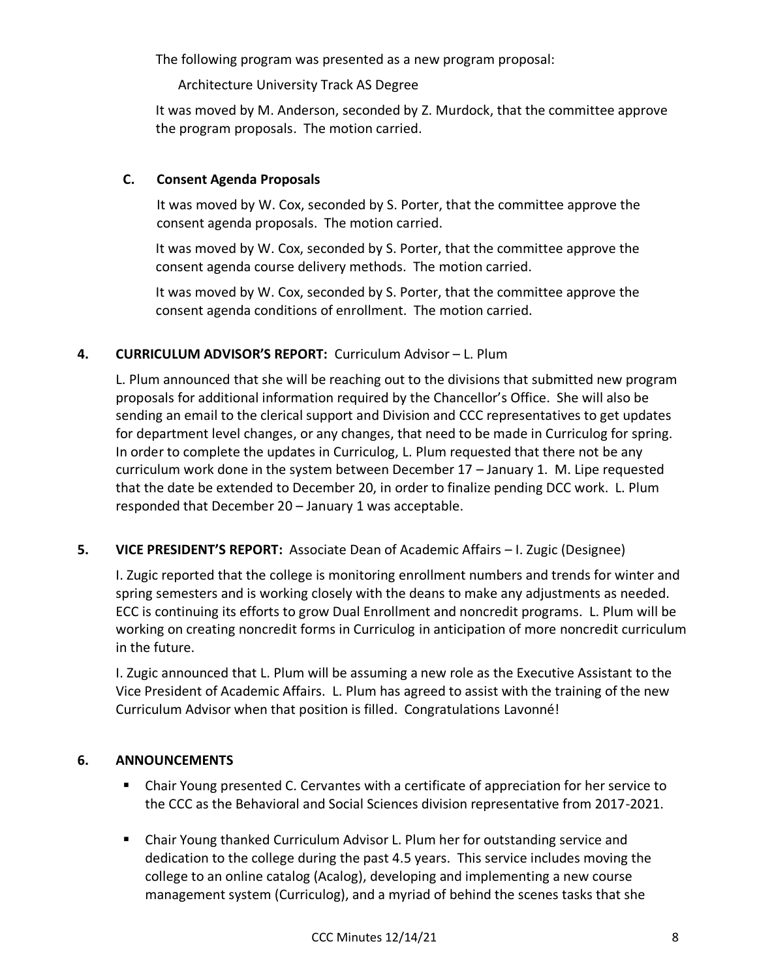The following program was presented as a new program proposal:

Architecture University Track AS Degree

It was moved by M. Anderson, seconded by Z. Murdock, that the committee approve the program proposals. The motion carried.

## **C. Consent Agenda Proposals**

It was moved by W. Cox, seconded by S. Porter, that the committee approve the consent agenda proposals. The motion carried.

It was moved by W. Cox, seconded by S. Porter, that the committee approve the consent agenda course delivery methods. The motion carried.

It was moved by W. Cox, seconded by S. Porter, that the committee approve the consent agenda conditions of enrollment. The motion carried.

## **4. CURRICULUM ADVISOR'S REPORT:** Curriculum Advisor – L. Plum

L. Plum announced that she will be reaching out to the divisions that submitted new program proposals for additional information required by the Chancellor's Office. She will also be sending an email to the clerical support and Division and CCC representatives to get updates for department level changes, or any changes, that need to be made in Curriculog for spring. In order to complete the updates in Curriculog, L. Plum requested that there not be any curriculum work done in the system between December 17 – January 1. M. Lipe requested that the date be extended to December 20, in order to finalize pending DCC work. L. Plum responded that December 20 – January 1 was acceptable.

# **5. VICE PRESIDENT'S REPORT:** Associate Dean of Academic Affairs – I. Zugic (Designee)

I. Zugic reported that the college is monitoring enrollment numbers and trends for winter and spring semesters and is working closely with the deans to make any adjustments as needed. ECC is continuing its efforts to grow Dual Enrollment and noncredit programs. L. Plum will be working on creating noncredit forms in Curriculog in anticipation of more noncredit curriculum in the future.

I. Zugic announced that L. Plum will be assuming a new role as the Executive Assistant to the Vice President of Academic Affairs. L. Plum has agreed to assist with the training of the new Curriculum Advisor when that position is filled. Congratulations Lavonné!

## **6. ANNOUNCEMENTS**

- Chair Young presented C. Cervantes with a certificate of appreciation for her service to the CCC as the Behavioral and Social Sciences division representative from 2017-2021.
- Chair Young thanked Curriculum Advisor L. Plum her for outstanding service and dedication to the college during the past 4.5 years. This service includes moving the college to an online catalog (Acalog), developing and implementing a new course management system (Curriculog), and a myriad of behind the scenes tasks that she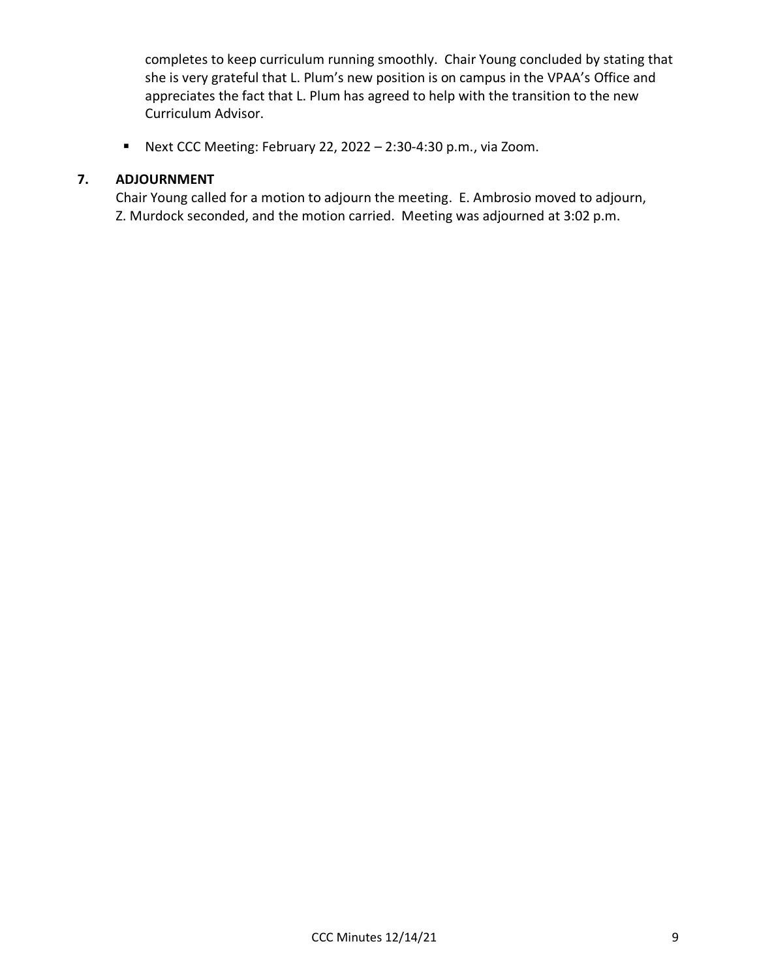completes to keep curriculum running smoothly. Chair Young concluded by stating that she is very grateful that L. Plum's new position is on campus in the VPAA's Office and appreciates the fact that L. Plum has agreed to help with the transition to the new Curriculum Advisor.

▪ Next CCC Meeting: February 22, 2022 – 2:30-4:30 p.m., via Zoom.

### **7. ADJOURNMENT**

Chair Young called for a motion to adjourn the meeting. E. Ambrosio moved to adjourn, Z. Murdock seconded, and the motion carried. Meeting was adjourned at 3:02 p.m.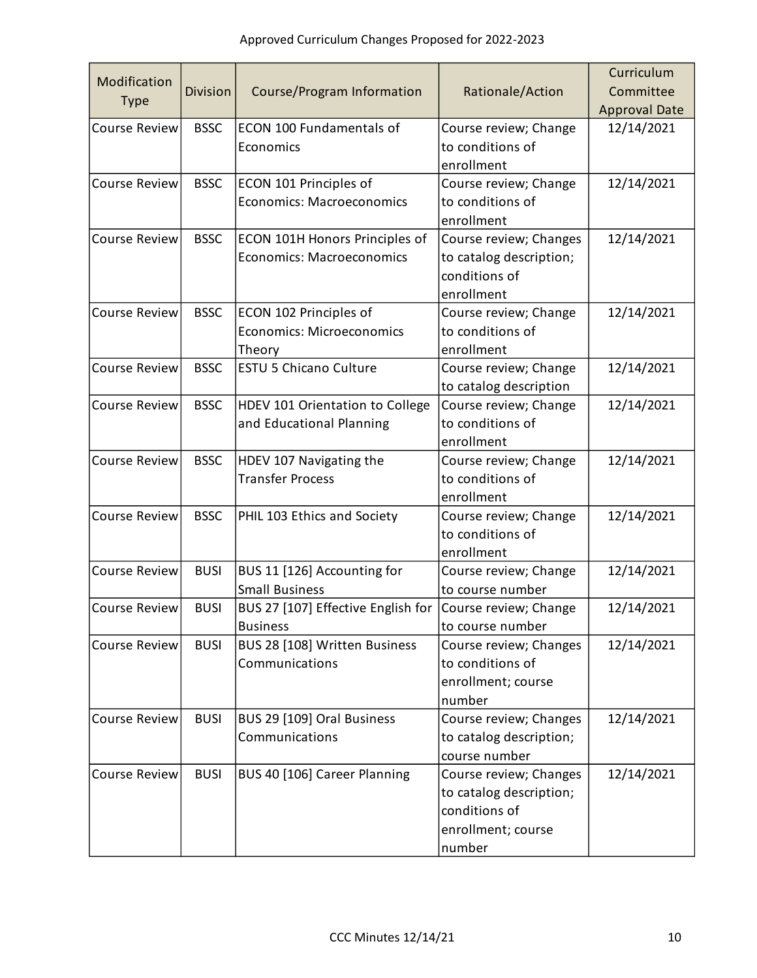|                      |                 |                                    |                         | Curriculum           |
|----------------------|-----------------|------------------------------------|-------------------------|----------------------|
| Modification         | <b>Division</b> | Course/Program Information         | Rationale/Action        | Committee            |
| <b>Type</b>          |                 |                                    |                         | <b>Approval Date</b> |
| <b>Course Review</b> | <b>BSSC</b>     | ECON 100 Fundamentals of           | Course review; Change   | 12/14/2021           |
|                      |                 | Economics                          | to conditions of        |                      |
|                      |                 |                                    | enrollment              |                      |
| <b>Course Review</b> | <b>BSSC</b>     | ECON 101 Principles of             | Course review; Change   | 12/14/2021           |
|                      |                 | <b>Economics: Macroeconomics</b>   | to conditions of        |                      |
|                      |                 |                                    | enrollment              |                      |
| <b>Course Review</b> | <b>BSSC</b>     | ECON 101H Honors Principles of     | Course review; Changes  | 12/14/2021           |
|                      |                 | <b>Economics: Macroeconomics</b>   | to catalog description; |                      |
|                      |                 |                                    | conditions of           |                      |
|                      |                 |                                    | enrollment              |                      |
| <b>Course Review</b> | <b>BSSC</b>     | ECON 102 Principles of             | Course review; Change   | 12/14/2021           |
|                      |                 | <b>Economics: Microeconomics</b>   | to conditions of        |                      |
|                      |                 | Theory                             | enrollment              |                      |
| <b>Course Review</b> | <b>BSSC</b>     | <b>ESTU 5 Chicano Culture</b>      | Course review; Change   | 12/14/2021           |
|                      |                 |                                    | to catalog description  |                      |
| <b>Course Review</b> | <b>BSSC</b>     | HDEV 101 Orientation to College    | Course review; Change   | 12/14/2021           |
|                      |                 | and Educational Planning           | to conditions of        |                      |
|                      |                 |                                    | enrollment              |                      |
| <b>Course Review</b> | <b>BSSC</b>     | HDEV 107 Navigating the            | Course review; Change   | 12/14/2021           |
|                      |                 | <b>Transfer Process</b>            | to conditions of        |                      |
|                      |                 |                                    | enrollment              |                      |
| <b>Course Review</b> | <b>BSSC</b>     | PHIL 103 Ethics and Society        | Course review; Change   | 12/14/2021           |
|                      |                 |                                    | to conditions of        |                      |
|                      |                 |                                    | enrollment              |                      |
| <b>Course Review</b> | <b>BUSI</b>     | BUS 11 [126] Accounting for        | Course review; Change   | 12/14/2021           |
|                      |                 | <b>Small Business</b>              | to course number        |                      |
| <b>Course Review</b> | <b>BUSI</b>     | BUS 27 [107] Effective English for | Course review; Change   | 12/14/2021           |
|                      |                 | <b>Business</b>                    | to course number        |                      |
| <b>Course Review</b> | <b>BUSI</b>     | BUS 28 [108] Written Business      | Course review; Changes  | 12/14/2021           |
|                      |                 | Communications                     | to conditions of        |                      |
|                      |                 |                                    | enrollment; course      |                      |
|                      |                 |                                    | number                  |                      |
| <b>Course Review</b> | <b>BUSI</b>     | BUS 29 [109] Oral Business         | Course review; Changes  | 12/14/2021           |
|                      |                 | Communications                     | to catalog description; |                      |
|                      |                 |                                    | course number           |                      |
| <b>Course Review</b> | <b>BUSI</b>     | BUS 40 [106] Career Planning       | Course review; Changes  | 12/14/2021           |
|                      |                 |                                    | to catalog description; |                      |
|                      |                 |                                    | conditions of           |                      |
|                      |                 |                                    | enrollment; course      |                      |
|                      |                 |                                    | number                  |                      |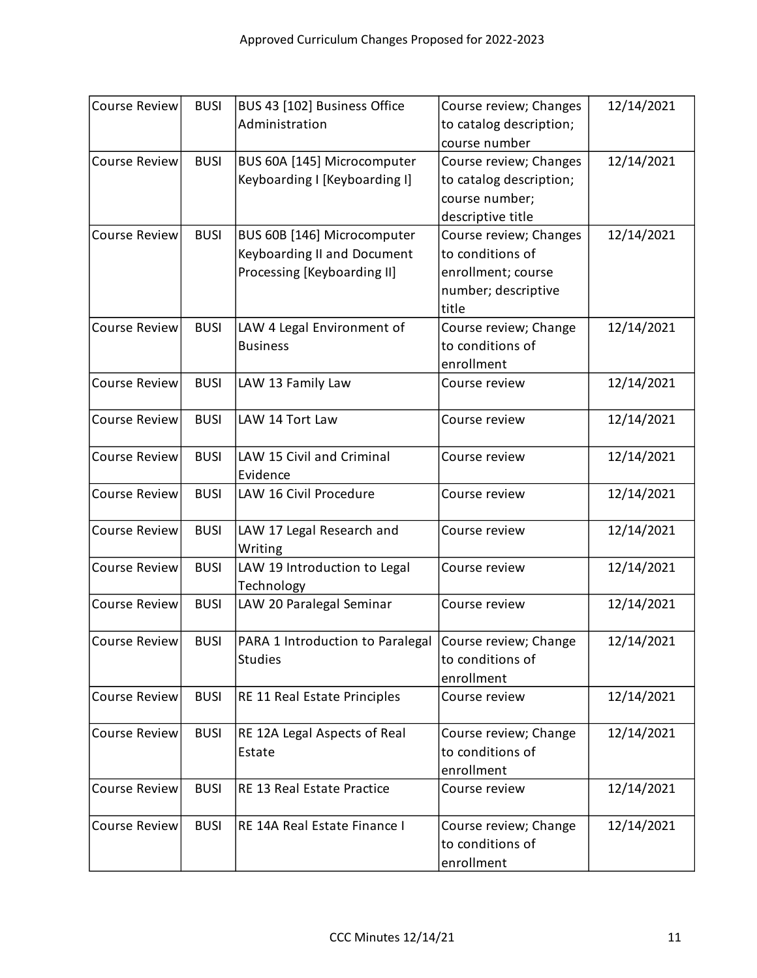| <b>Course Review</b> | <b>BUSI</b> | BUS 43 [102] Business Office                           | Course review; Changes  | 12/14/2021 |
|----------------------|-------------|--------------------------------------------------------|-------------------------|------------|
|                      |             | Administration                                         | to catalog description; |            |
|                      |             |                                                        | course number           |            |
| <b>Course Review</b> | <b>BUSI</b> | BUS 60A [145] Microcomputer                            | Course review; Changes  | 12/14/2021 |
|                      |             | Keyboarding I [Keyboarding I]                          | to catalog description; |            |
|                      |             |                                                        | course number;          |            |
|                      |             |                                                        | descriptive title       |            |
| <b>Course Review</b> | <b>BUSI</b> | BUS 60B [146] Microcomputer                            | Course review; Changes  | 12/14/2021 |
|                      |             | Keyboarding II and Document                            | to conditions of        |            |
|                      |             | Processing [Keyboarding II]                            | enrollment; course      |            |
|                      |             |                                                        | number; descriptive     |            |
|                      |             |                                                        | title                   |            |
| <b>Course Review</b> | <b>BUSI</b> | LAW 4 Legal Environment of                             | Course review; Change   | 12/14/2021 |
|                      |             | <b>Business</b>                                        | to conditions of        |            |
|                      |             |                                                        | enrollment              |            |
| <b>Course Review</b> | <b>BUSI</b> | LAW 13 Family Law                                      | Course review           | 12/14/2021 |
|                      |             |                                                        |                         |            |
| <b>Course Review</b> | <b>BUSI</b> | LAW 14 Tort Law                                        | Course review           | 12/14/2021 |
|                      |             |                                                        |                         |            |
| <b>Course Review</b> | <b>BUSI</b> | LAW 15 Civil and Criminal                              | Course review           | 12/14/2021 |
|                      |             | Evidence                                               |                         |            |
| <b>Course Review</b> | <b>BUSI</b> | LAW 16 Civil Procedure                                 | Course review           | 12/14/2021 |
| <b>Course Review</b> | <b>BUSI</b> | LAW 17 Legal Research and                              | Course review           | 12/14/2021 |
|                      |             | Writing                                                |                         |            |
| <b>Course Review</b> | <b>BUSI</b> | LAW 19 Introduction to Legal                           | Course review           | 12/14/2021 |
|                      |             | Technology                                             |                         |            |
| <b>Course Review</b> | <b>BUSI</b> | LAW 20 Paralegal Seminar                               | Course review           | 12/14/2021 |
|                      |             |                                                        |                         |            |
| <b>Course Review</b> | <b>BUSI</b> | PARA 1 Introduction to Paralegal Course review; Change |                         | 12/14/2021 |
|                      |             | <b>Studies</b>                                         | to conditions of        |            |
|                      |             |                                                        | enrollment              |            |
| <b>Course Review</b> | <b>BUSI</b> | RE 11 Real Estate Principles                           | Course review           | 12/14/2021 |
| <b>Course Review</b> | <b>BUSI</b> | RE 12A Legal Aspects of Real                           | Course review; Change   | 12/14/2021 |
|                      |             | Estate                                                 | to conditions of        |            |
|                      |             |                                                        | enrollment              |            |
| <b>Course Review</b> | <b>BUSI</b> | RE 13 Real Estate Practice                             | Course review           | 12/14/2021 |
|                      |             |                                                        |                         |            |
| <b>Course Review</b> | <b>BUSI</b> | RE 14A Real Estate Finance I                           | Course review; Change   | 12/14/2021 |
|                      |             |                                                        | to conditions of        |            |
|                      |             |                                                        | enrollment              |            |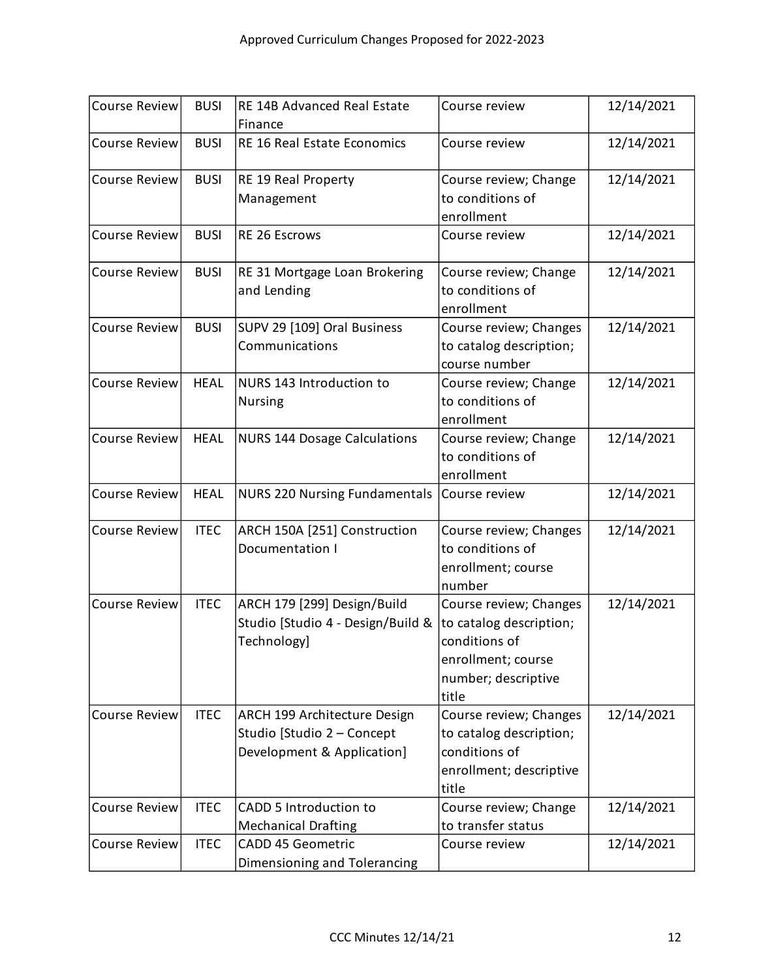| <b>Course Review</b> | <b>BUSI</b> | RE 14B Advanced Real Estate<br>Finance                                                   | Course review                                                                                                            | 12/14/2021 |
|----------------------|-------------|------------------------------------------------------------------------------------------|--------------------------------------------------------------------------------------------------------------------------|------------|
| <b>Course Review</b> | <b>BUSI</b> | RE 16 Real Estate Economics                                                              | Course review                                                                                                            | 12/14/2021 |
| <b>Course Review</b> | <b>BUSI</b> | RE 19 Real Property<br>Management                                                        | Course review; Change<br>to conditions of<br>enrollment                                                                  | 12/14/2021 |
| <b>Course Review</b> | <b>BUSI</b> | RE 26 Escrows                                                                            | Course review                                                                                                            | 12/14/2021 |
| <b>Course Review</b> | <b>BUSI</b> | RE 31 Mortgage Loan Brokering<br>and Lending                                             | Course review; Change<br>to conditions of<br>enrollment                                                                  | 12/14/2021 |
| <b>Course Review</b> | <b>BUSI</b> | SUPV 29 [109] Oral Business<br>Communications                                            | Course review; Changes<br>to catalog description;<br>course number                                                       | 12/14/2021 |
| <b>Course Review</b> | <b>HEAL</b> | NURS 143 Introduction to<br><b>Nursing</b>                                               | Course review; Change<br>to conditions of<br>enrollment                                                                  | 12/14/2021 |
| <b>Course Review</b> | <b>HEAL</b> | <b>NURS 144 Dosage Calculations</b>                                                      | Course review; Change<br>to conditions of<br>enrollment                                                                  | 12/14/2021 |
| <b>Course Review</b> | <b>HEAL</b> | <b>NURS 220 Nursing Fundamentals</b>                                                     | Course review                                                                                                            | 12/14/2021 |
| <b>Course Review</b> | <b>ITEC</b> | ARCH 150A [251] Construction<br>Documentation I                                          | Course review; Changes<br>to conditions of<br>enrollment; course<br>number                                               | 12/14/2021 |
| <b>Course Review</b> | <b>ITEC</b> | ARCH 179 [299] Design/Build<br>Studio [Studio 4 - Design/Build &<br>Technology]          | Course review; Changes<br>to catalog description;<br>conditions of<br>enrollment; course<br>number; descriptive<br>title | 12/14/2021 |
| <b>Course Review</b> | <b>ITEC</b> | ARCH 199 Architecture Design<br>Studio [Studio 2 - Concept<br>Development & Application] | Course review; Changes<br>to catalog description;<br>conditions of<br>enrollment; descriptive<br>title                   | 12/14/2021 |
| <b>Course Review</b> | <b>ITEC</b> | CADD 5 Introduction to<br><b>Mechanical Drafting</b>                                     | Course review; Change<br>to transfer status                                                                              | 12/14/2021 |
| <b>Course Review</b> | <b>ITEC</b> | <b>CADD 45 Geometric</b><br>Dimensioning and Tolerancing                                 | Course review                                                                                                            | 12/14/2021 |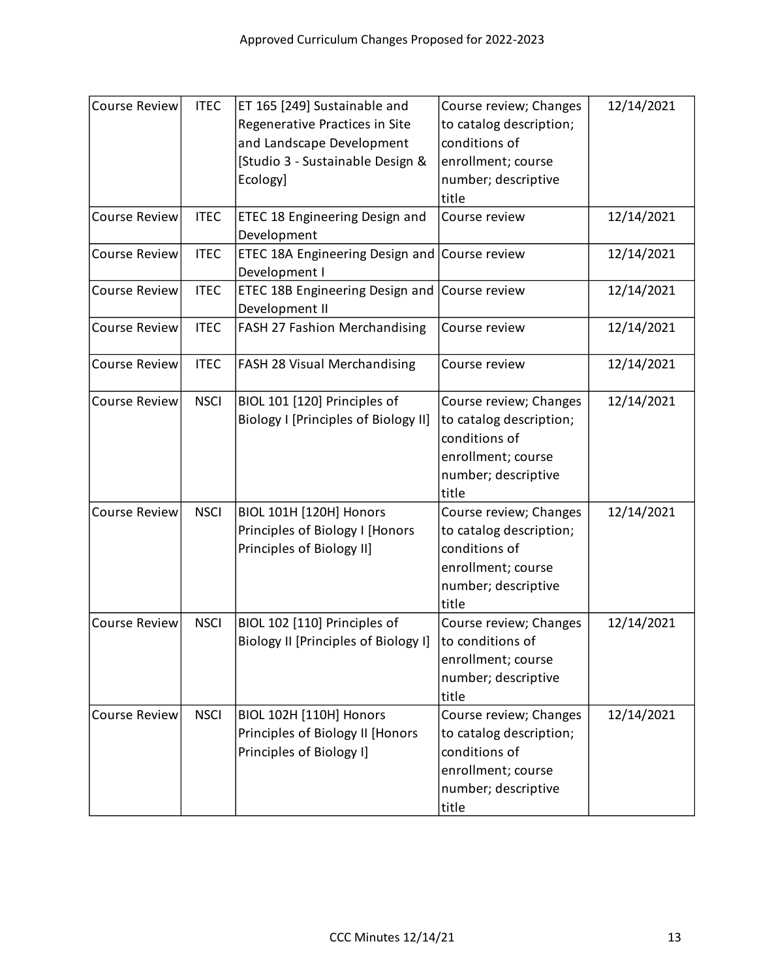| <b>Course Review</b> | <b>ITEC</b> | ET 165 [249] Sustainable and<br>Regenerative Practices in Site<br>and Landscape Development<br>[Studio 3 - Sustainable Design &<br>Ecology] | Course review; Changes<br>to catalog description;<br>conditions of<br>enrollment; course<br>number; descriptive<br>title | 12/14/2021 |
|----------------------|-------------|---------------------------------------------------------------------------------------------------------------------------------------------|--------------------------------------------------------------------------------------------------------------------------|------------|
| <b>Course Review</b> | <b>ITEC</b> | ETEC 18 Engineering Design and<br>Development                                                                                               | Course review                                                                                                            | 12/14/2021 |
| <b>Course Review</b> | <b>ITEC</b> | ETEC 18A Engineering Design and<br>Development I                                                                                            | Course review                                                                                                            | 12/14/2021 |
| <b>Course Review</b> | <b>ITEC</b> | ETEC 18B Engineering Design and<br>Development II                                                                                           | Course review                                                                                                            | 12/14/2021 |
| <b>Course Review</b> | <b>ITEC</b> | FASH 27 Fashion Merchandising                                                                                                               | Course review                                                                                                            | 12/14/2021 |
| <b>Course Review</b> | <b>ITEC</b> | FASH 28 Visual Merchandising                                                                                                                | Course review                                                                                                            | 12/14/2021 |
| <b>Course Review</b> | <b>NSCI</b> | BIOL 101 [120] Principles of<br>Biology I [Principles of Biology II]                                                                        | Course review; Changes<br>to catalog description;<br>conditions of<br>enrollment; course<br>number; descriptive<br>title | 12/14/2021 |
| <b>Course Review</b> | <b>NSCI</b> | <b>BIOL 101H [120H] Honors</b><br>Principles of Biology I [Honors<br>Principles of Biology II]                                              | Course review; Changes<br>to catalog description;<br>conditions of<br>enrollment; course<br>number; descriptive<br>title | 12/14/2021 |
| <b>Course Review</b> | <b>NSCI</b> | BIOL 102 [110] Principles of<br>Biology II [Principles of Biology I]                                                                        | Course review; Changes<br>to conditions of<br>enrollment; course<br>number; descriptive<br>title                         | 12/14/2021 |
| <b>Course Review</b> | <b>NSCI</b> | <b>BIOL 102H [110H] Honors</b><br>Principles of Biology II [Honors<br>Principles of Biology I]                                              | Course review; Changes<br>to catalog description;<br>conditions of<br>enrollment; course<br>number; descriptive<br>title | 12/14/2021 |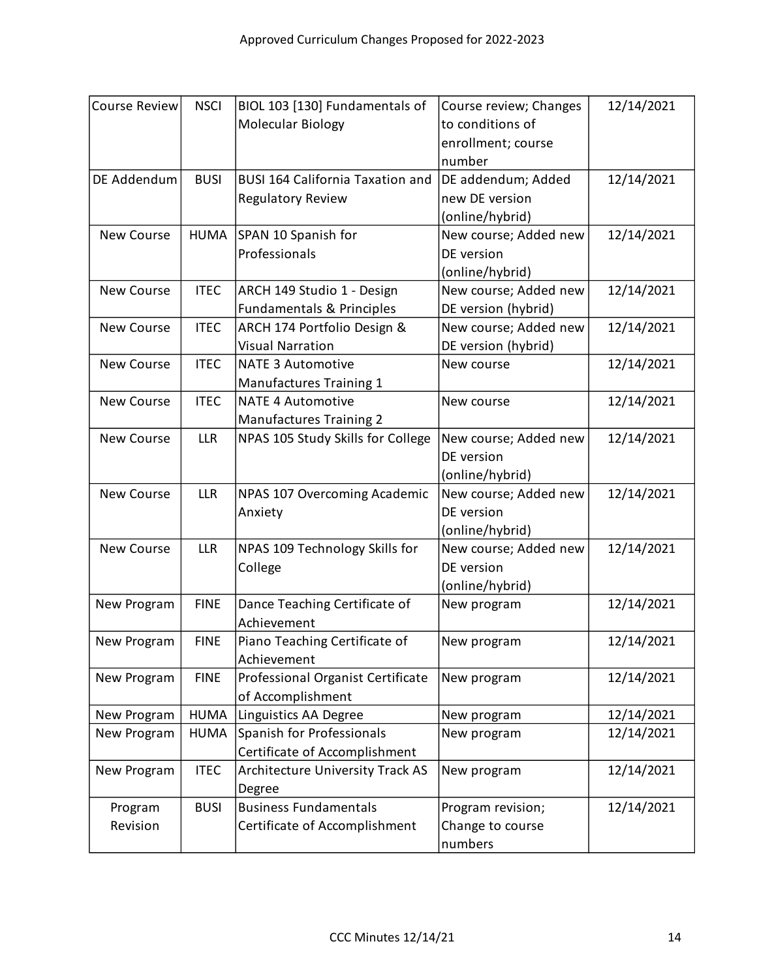| <b>Course Review</b> | <b>NSCI</b> | BIOL 103 [130] Fundamentals of          | Course review; Changes | 12/14/2021 |
|----------------------|-------------|-----------------------------------------|------------------------|------------|
|                      |             | Molecular Biology                       | to conditions of       |            |
|                      |             |                                         | enrollment; course     |            |
|                      |             |                                         | number                 |            |
| DE Addendum          | <b>BUSI</b> | <b>BUSI 164 California Taxation and</b> | DE addendum; Added     | 12/14/2021 |
|                      |             | <b>Regulatory Review</b>                | new DE version         |            |
|                      |             |                                         | (online/hybrid)        |            |
| <b>New Course</b>    | <b>HUMA</b> | SPAN 10 Spanish for                     | New course; Added new  | 12/14/2021 |
|                      |             | Professionals                           | DE version             |            |
|                      |             |                                         | (online/hybrid)        |            |
| <b>New Course</b>    | <b>ITEC</b> | ARCH 149 Studio 1 - Design              | New course; Added new  | 12/14/2021 |
|                      |             | Fundamentals & Principles               | DE version (hybrid)    |            |
| <b>New Course</b>    | <b>ITEC</b> | ARCH 174 Portfolio Design &             | New course; Added new  | 12/14/2021 |
|                      |             | <b>Visual Narration</b>                 | DE version (hybrid)    |            |
| <b>New Course</b>    | <b>ITEC</b> | <b>NATE 3 Automotive</b>                | New course             | 12/14/2021 |
|                      |             | <b>Manufactures Training 1</b>          |                        |            |
| <b>New Course</b>    | <b>ITEC</b> | <b>NATE 4 Automotive</b>                | New course             | 12/14/2021 |
|                      |             | <b>Manufactures Training 2</b>          |                        |            |
| <b>New Course</b>    | <b>LLR</b>  | NPAS 105 Study Skills for College       | New course; Added new  | 12/14/2021 |
|                      |             |                                         | DE version             |            |
|                      |             |                                         | (online/hybrid)        |            |
| <b>New Course</b>    | <b>LLR</b>  | NPAS 107 Overcoming Academic            | New course; Added new  | 12/14/2021 |
|                      |             | Anxiety                                 | DE version             |            |
|                      |             |                                         | (online/hybrid)        |            |
| <b>New Course</b>    | <b>LLR</b>  | NPAS 109 Technology Skills for          | New course; Added new  | 12/14/2021 |
|                      |             | College                                 | DE version             |            |
|                      |             |                                         | (online/hybrid)        |            |
| New Program          | <b>FINE</b> | Dance Teaching Certificate of           | New program            | 12/14/2021 |
|                      |             | Achievement                             |                        |            |
| New Program          | <b>FINE</b> | Piano Teaching Certificate of           | New program            | 12/14/2021 |
|                      |             | Achievement                             |                        |            |
| New Program          | <b>FINE</b> | Professional Organist Certificate       | New program            | 12/14/2021 |
|                      |             | of Accomplishment                       |                        |            |
| New Program          | <b>HUMA</b> | Linguistics AA Degree                   | New program            | 12/14/2021 |
| New Program          | <b>HUMA</b> | Spanish for Professionals               | New program            | 12/14/2021 |
|                      |             | Certificate of Accomplishment           |                        |            |
| New Program          | <b>ITEC</b> | <b>Architecture University Track AS</b> | New program            | 12/14/2021 |
|                      |             | Degree                                  |                        |            |
| Program              | <b>BUSI</b> | <b>Business Fundamentals</b>            | Program revision;      | 12/14/2021 |
| Revision             |             | Certificate of Accomplishment           | Change to course       |            |
|                      |             |                                         | numbers                |            |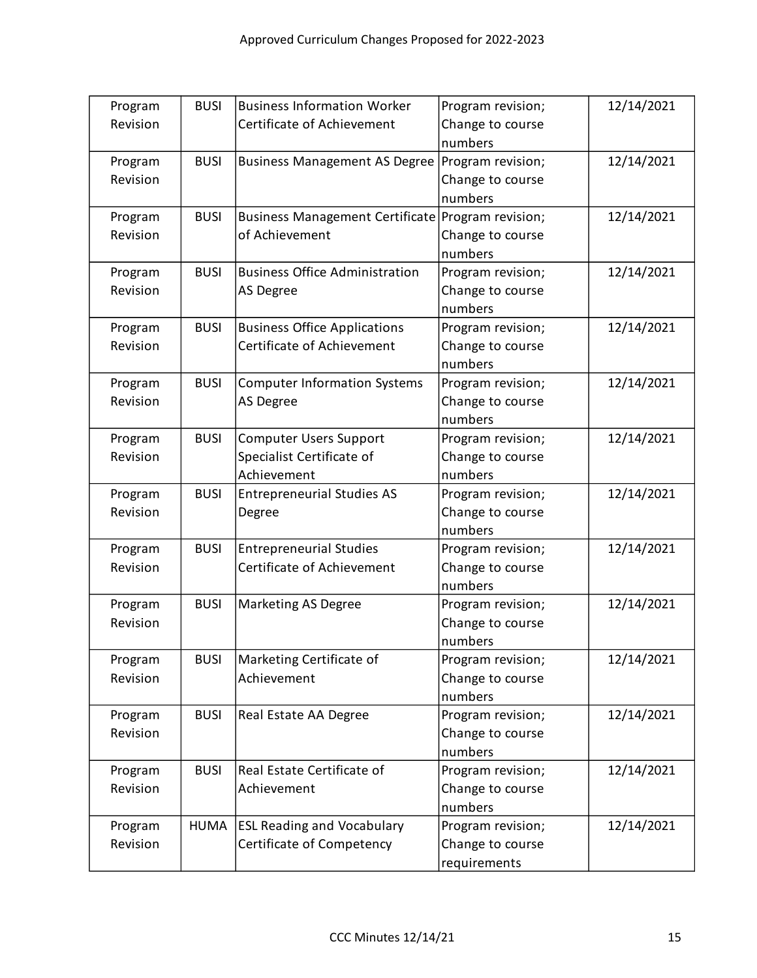| Program  | <b>BUSI</b> | <b>Business Information Worker</b>                | Program revision; | 12/14/2021 |
|----------|-------------|---------------------------------------------------|-------------------|------------|
| Revision |             | Certificate of Achievement                        | Change to course  |            |
|          |             |                                                   | numbers           |            |
| Program  | <b>BUSI</b> | <b>Business Management AS Degree</b>              | Program revision; | 12/14/2021 |
| Revision |             |                                                   | Change to course  |            |
|          |             |                                                   | numbers           |            |
| Program  | <b>BUSI</b> | Business Management Certificate Program revision; |                   | 12/14/2021 |
| Revision |             | of Achievement                                    | Change to course  |            |
|          |             |                                                   | numbers           |            |
| Program  | <b>BUSI</b> | <b>Business Office Administration</b>             | Program revision; | 12/14/2021 |
| Revision |             | <b>AS Degree</b>                                  | Change to course  |            |
|          |             |                                                   | numbers           |            |
| Program  | <b>BUSI</b> | <b>Business Office Applications</b>               | Program revision; | 12/14/2021 |
| Revision |             | Certificate of Achievement                        | Change to course  |            |
|          |             |                                                   | numbers           |            |
| Program  | <b>BUSI</b> | <b>Computer Information Systems</b>               | Program revision; | 12/14/2021 |
| Revision |             | <b>AS Degree</b>                                  | Change to course  |            |
|          |             |                                                   | numbers           |            |
| Program  | <b>BUSI</b> | <b>Computer Users Support</b>                     | Program revision; | 12/14/2021 |
| Revision |             | Specialist Certificate of                         | Change to course  |            |
|          |             | Achievement                                       | numbers           |            |
| Program  | <b>BUSI</b> | <b>Entrepreneurial Studies AS</b>                 | Program revision; | 12/14/2021 |
| Revision |             | Degree                                            | Change to course  |            |
|          |             |                                                   | numbers           |            |
| Program  | <b>BUSI</b> | <b>Entrepreneurial Studies</b>                    | Program revision; | 12/14/2021 |
| Revision |             | Certificate of Achievement                        | Change to course  |            |
|          |             |                                                   | numbers           |            |
| Program  | <b>BUSI</b> | <b>Marketing AS Degree</b>                        | Program revision; | 12/14/2021 |
| Revision |             |                                                   | Change to course  |            |
|          |             |                                                   | numbers           |            |
| Program  | <b>BUSI</b> | Marketing Certificate of                          | Program revision; | 12/14/2021 |
| Revision |             | Achievement                                       | Change to course  |            |
|          |             |                                                   | numbers           |            |
| Program  | <b>BUSI</b> | Real Estate AA Degree                             | Program revision; | 12/14/2021 |
| Revision |             |                                                   | Change to course  |            |
|          |             |                                                   | numbers           |            |
| Program  | <b>BUSI</b> | Real Estate Certificate of                        | Program revision; | 12/14/2021 |
| Revision |             | Achievement                                       | Change to course  |            |
|          |             |                                                   | numbers           |            |
| Program  | <b>HUMA</b> | <b>ESL Reading and Vocabulary</b>                 | Program revision; | 12/14/2021 |
| Revision |             | Certificate of Competency                         | Change to course  |            |
|          |             |                                                   | requirements      |            |